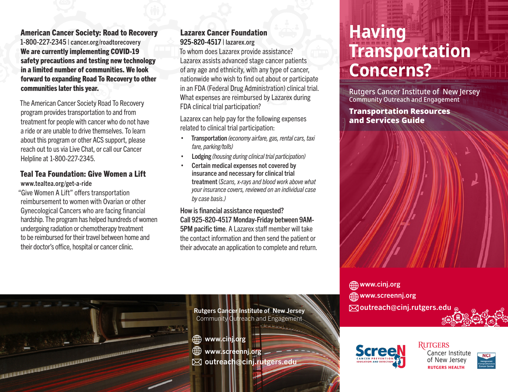American Cancer Society: Road to Recovery 1-800-227-2345 | [cancer.org/roadtorecovery](http://www.cancer.org/roadtorecovery ) We are currently implementing COVID-19 safety precautions and testing new technology in a limited number of communities. We look forward to expanding Road To Recovery to other communities later this year.

The American Cancer Society Road To Recovery program provides transportation to and from treatment for people with cancer who do not have a ride or are unable to drive themselves. To learn about this program or other ACS support, please reach out to us via Live Chat, or call our Cancer Helpline at 1-800-227-2345.

#### Teal Tea Foundation: Give Women a Lift [www.tealtea.org/get-a-ride](https://www.tealtea.org/get-a-ride )

"Give Women A Lift" offers transportation reimbursement to women with Ovarian or other Gynecological Cancers who are facing financial hardship. The program has helped hundreds of women undergoing radiation or chemotherapy treatment to be reimbursed for their travel between home and their doctor's office, hospital or cancer clinic.

a a componenta de la componenta de la componenta de la componenta de la componenta de la componenta de la comp<br>La componenta de la componenta de la componenta de la componenta de la componenta de la componenta de la compo

#### Lazarex Cancer Foundation 925-820-4517 | [lazarex.org](https://lazarex.org/ )

To whom does Lazarex provide assistance? Lazarex assists advanced stage cancer patients of any age and ethnicity, with any type of cancer, nationwide who wish to find out about or participate in an FDA (Federal Drug Administration) clinical trial. What expenses are reimbursed by Lazarex during FDA clinical trial participation?

Lazarex can help pay for the following expenses related to clinical trial participation:

- Transportation *(economy airfare, gas, rental cars, taxi fare, parking/tolls)*
- Lodging *(housing during clinical trial participation)*
- Certain medical expenses not covered by insurance and necessary for clinical trial treatment (*Scans, x-rays and blood work above what your insurance covers, reviewed on an individual case by case basis.)*

How is financial assistance requested? Call 925-820-4517 Monday-Friday between 9AM-5PM pacific time. A Lazarex staff member will take the contact information and then send the patient or their advocate an application to complete and return.

### **Having Transportation Concerns?**

Rutgers Cancer Institute of New Jersey Community Outreach and Engagement

Transportation Resources and Services Guide



[www.screennj.org](http://www.screennj.org ) outreach@cinj.rutgers.edu



Cancer Institute of New Jersey **RUTGERS HEALTH** 



Rutgers Cancer Institute of New Jersey Community Outreach and Engagement

- [www.cinj.org](http://www.cinj.org)
- ∰ [www.screennj.org](http://www.screennj.org)
- $\boxtimes$  **outreach@cinj.rutgers.edu**